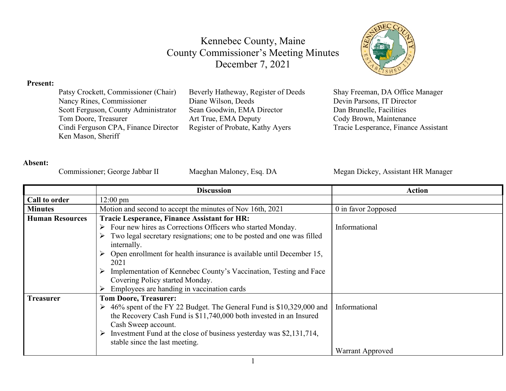

#### **Present:**

| Beverly Hatheway, Register of Deeds | Shay Freeman, DA Office Manager      |
|-------------------------------------|--------------------------------------|
| Diane Wilson, Deeds                 | Devin Parsons, IT Director           |
| Sean Goodwin, EMA Director          | Dan Brunelle, Facilities             |
| Art True, EMA Deputy                | Cody Brown, Maintenance              |
| Register of Probate, Kathy Ayers    | Tracie Lesperance, Finance Assistant |
|                                     |                                      |
|                                     |                                      |

#### **Absent:**

Commissioner; George Jabbar II Maeghan Maloney, Esq. DA Megan Dickey, Assistant HR Manager

|                        | <b>Discussion</b>                                                                    | <b>Action</b>       |
|------------------------|--------------------------------------------------------------------------------------|---------------------|
| Call to order          | $12:00 \text{ pm}$                                                                   |                     |
| <b>Minutes</b>         | Motion and second to accept the minutes of Nov 16th, 2021                            | 0 in favor 2opposed |
| <b>Human Resources</b> | <b>Tracie Lesperance, Finance Assistant for HR:</b>                                  |                     |
|                        | Four new hires as Corrections Officers who started Monday.                           | Informational       |
|                        | Two legal secretary resignations; one to be posted and one was filled                |                     |
|                        | internally.                                                                          |                     |
|                        | Open enrollment for health insurance is available until December 15,                 |                     |
|                        | 2021                                                                                 |                     |
|                        | Implementation of Kennebec County's Vaccination, Testing and Face<br>➤               |                     |
|                        | Covering Policy started Monday.                                                      |                     |
|                        | Employees are handing in vaccination cards                                           |                     |
| <b>Treasurer</b>       | <b>Tom Doore, Treasurer:</b>                                                         |                     |
|                        | $\triangleright$ 46% spent of the FY 22 Budget. The General Fund is \$10,329,000 and | Informational       |
|                        | the Recovery Cash Fund is \$11,740,000 both invested in an Insured                   |                     |
|                        | Cash Sweep account.                                                                  |                     |
|                        | Investment Fund at the close of business yesterday was \$2,131,714,<br>➤             |                     |
|                        | stable since the last meeting.                                                       |                     |
|                        |                                                                                      | Warrant Approved    |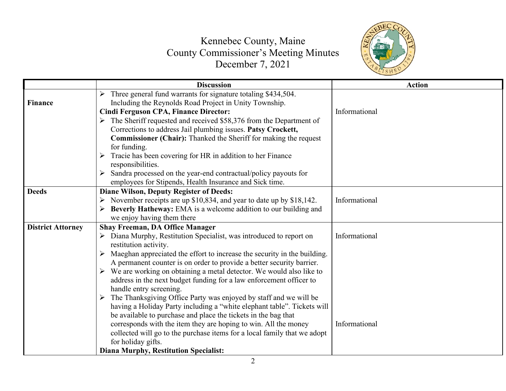

|                          | <b>Discussion</b>                                                                                                            | <b>Action</b> |
|--------------------------|------------------------------------------------------------------------------------------------------------------------------|---------------|
| <b>Finance</b>           | Three general fund warrants for signature totaling \$434,504.<br>➤<br>Including the Reynolds Road Project in Unity Township. |               |
|                          | <b>Cindi Ferguson CPA, Finance Director:</b>                                                                                 | Informational |
|                          | $\triangleright$ The Sheriff requested and received \$58,376 from the Department of                                          |               |
|                          | Corrections to address Jail plumbing issues. Patsy Crockett,                                                                 |               |
|                          | Commissioner (Chair): Thanked the Sheriff for making the request<br>for funding.                                             |               |
|                          | Tracie has been covering for HR in addition to her Finance<br>➤                                                              |               |
|                          | responsibilities.                                                                                                            |               |
|                          | Sandra processed on the year-end contractual/policy payouts for<br>➤                                                         |               |
|                          | employees for Stipends, Health Insurance and Sick time.                                                                      |               |
| <b>Deeds</b>             | <b>Diane Wilson, Deputy Register of Deeds:</b>                                                                               |               |
|                          | S November receipts are up \$10,834, and year to date up by \$18,142.                                                        | Informational |
|                          | Beverly Hatheway: EMA is a welcome addition to our building and                                                              |               |
|                          | we enjoy having them there                                                                                                   |               |
| <b>District Attorney</b> | <b>Shay Freeman, DA Office Manager</b>                                                                                       |               |
|                          | Diana Murphy, Restitution Specialist, was introduced to report on<br>restitution activity.                                   | Informational |
|                          | Maeghan appreciated the effort to increase the security in the building.<br>$\blacktriangleright$                            |               |
|                          | A permanent counter is on order to provide a better security barrier.                                                        |               |
|                          | $\triangleright$ We are working on obtaining a metal detector. We would also like to                                         |               |
|                          | address in the next budget funding for a law enforcement officer to                                                          |               |
|                          | handle entry screening.                                                                                                      |               |
|                          | The Thanksgiving Office Party was enjoyed by staff and we will be<br>➤                                                       |               |
|                          | having a Holiday Party including a "white elephant table". Tickets will                                                      |               |
|                          | be available to purchase and place the tickets in the bag that                                                               |               |
|                          | corresponds with the item they are hoping to win. All the money                                                              | Informational |
|                          | collected will go to the purchase items for a local family that we adopt                                                     |               |
|                          | for holiday gifts.                                                                                                           |               |
|                          | <b>Diana Murphy, Restitution Specialist:</b>                                                                                 |               |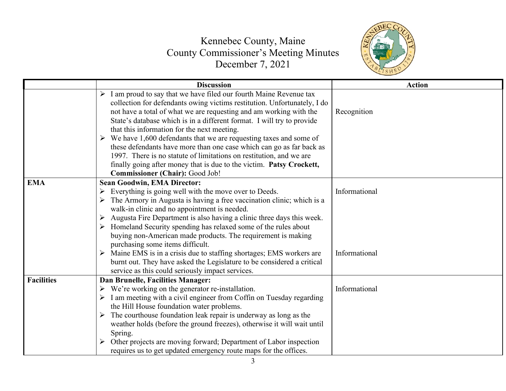

|                   | <b>Discussion</b>                                                                                                                                                                                                                                                                                              | <b>Action</b> |
|-------------------|----------------------------------------------------------------------------------------------------------------------------------------------------------------------------------------------------------------------------------------------------------------------------------------------------------------|---------------|
|                   | $\triangleright$ I am proud to say that we have filed our fourth Maine Revenue tax<br>collection for defendants owing victims restitution. Unfortunately, I do<br>not have a total of what we are requesting and am working with the<br>State's database which is in a different format. I will try to provide | Recognition   |
|                   | that this information for the next meeting.                                                                                                                                                                                                                                                                    |               |
|                   | $\triangleright$ We have 1,600 defendants that we are requesting taxes and some of<br>these defendants have more than one case which can go as far back as                                                                                                                                                     |               |
|                   | 1997. There is no statute of limitations on restitution, and we are                                                                                                                                                                                                                                            |               |
|                   | finally going after money that is due to the victim. Patsy Crockett,<br>Commissioner (Chair): Good Job!                                                                                                                                                                                                        |               |
| <b>EMA</b>        | <b>Sean Goodwin, EMA Director:</b>                                                                                                                                                                                                                                                                             |               |
|                   | Everything is going well with the move over to Deeds.                                                                                                                                                                                                                                                          | Informational |
|                   | The Armory in Augusta is having a free vaccination clinic; which is a                                                                                                                                                                                                                                          |               |
|                   | walk-in clinic and no appointment is needed.                                                                                                                                                                                                                                                                   |               |
|                   | Augusta Fire Department is also having a clinic three days this week.                                                                                                                                                                                                                                          |               |
|                   | $\triangleright$ Homeland Security spending has relaxed some of the rules about                                                                                                                                                                                                                                |               |
|                   | buying non-American made products. The requirement is making                                                                                                                                                                                                                                                   |               |
|                   | purchasing some items difficult.                                                                                                                                                                                                                                                                               |               |
|                   | $\triangleright$ Maine EMS is in a crisis due to staffing shortages; EMS workers are                                                                                                                                                                                                                           | Informational |
|                   | burnt out. They have asked the Legislature to be considered a critical<br>service as this could seriously impact services.                                                                                                                                                                                     |               |
| <b>Facilities</b> | Dan Brunelle, Facilities Manager:                                                                                                                                                                                                                                                                              |               |
|                   | $\triangleright$ We're working on the generator re-installation.                                                                                                                                                                                                                                               | Informational |
|                   | $\triangleright$ I am meeting with a civil engineer from Coffin on Tuesday regarding                                                                                                                                                                                                                           |               |
|                   | the Hill House foundation water problems.                                                                                                                                                                                                                                                                      |               |
|                   | $\triangleright$ The courthouse foundation leak repair is underway as long as the                                                                                                                                                                                                                              |               |
|                   | weather holds (before the ground freezes), otherwise it will wait until                                                                                                                                                                                                                                        |               |
|                   | Spring.                                                                                                                                                                                                                                                                                                        |               |
|                   | Other projects are moving forward; Department of Labor inspection                                                                                                                                                                                                                                              |               |
|                   | requires us to get updated emergency route maps for the offices.                                                                                                                                                                                                                                               |               |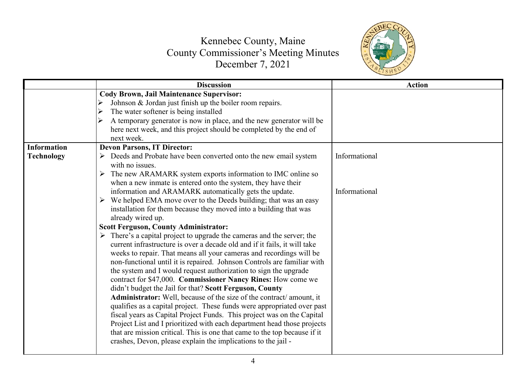

|                    | <b>Discussion</b>                                                                                                                                                                                                                                                                                                                                                                                                                                                                                                                                                                                                                                                                                                                                                                                                                                                                                                                                                                                                                                                                                                                                                                                                                                                                                                                                                                                                                                                                                                                | <b>Action</b>                  |
|--------------------|----------------------------------------------------------------------------------------------------------------------------------------------------------------------------------------------------------------------------------------------------------------------------------------------------------------------------------------------------------------------------------------------------------------------------------------------------------------------------------------------------------------------------------------------------------------------------------------------------------------------------------------------------------------------------------------------------------------------------------------------------------------------------------------------------------------------------------------------------------------------------------------------------------------------------------------------------------------------------------------------------------------------------------------------------------------------------------------------------------------------------------------------------------------------------------------------------------------------------------------------------------------------------------------------------------------------------------------------------------------------------------------------------------------------------------------------------------------------------------------------------------------------------------|--------------------------------|
|                    | <b>Cody Brown, Jail Maintenance Supervisor:</b><br>Johnson & Jordan just finish up the boiler room repairs.<br>The water softener is being installed<br>$\blacktriangleright$<br>A temporary generator is now in place, and the new generator will be<br>here next week, and this project should be completed by the end of<br>next week.                                                                                                                                                                                                                                                                                                                                                                                                                                                                                                                                                                                                                                                                                                                                                                                                                                                                                                                                                                                                                                                                                                                                                                                        |                                |
| <b>Information</b> | <b>Devon Parsons, IT Director:</b>                                                                                                                                                                                                                                                                                                                                                                                                                                                                                                                                                                                                                                                                                                                                                                                                                                                                                                                                                                                                                                                                                                                                                                                                                                                                                                                                                                                                                                                                                               |                                |
| <b>Technology</b>  | $\triangleright$ Deeds and Probate have been converted onto the new email system<br>with no issues.<br>$\triangleright$ The new ARAMARK system exports information to IMC online so<br>when a new inmate is entered onto the system, they have their<br>information and ARAMARK automatically gets the update.<br>We helped EMA move over to the Deeds building; that was an easy<br>$\blacktriangleright$<br>installation for them because they moved into a building that was<br>already wired up.<br><b>Scott Ferguson, County Administrator:</b><br>$\triangleright$ There's a capital project to upgrade the cameras and the server; the<br>current infrastructure is over a decade old and if it fails, it will take<br>weeks to repair. That means all your cameras and recordings will be<br>non-functional until it is repaired. Johnson Controls are familiar with<br>the system and I would request authorization to sign the upgrade<br>contract for \$47,000. Commissioner Nancy Rines: How come we<br>didn't budget the Jail for that? Scott Ferguson, County<br>Administrator: Well, because of the size of the contract/amount, it<br>qualifies as a capital project. These funds were appropriated over past<br>fiscal years as Capital Project Funds. This project was on the Capital<br>Project List and I prioritized with each department head those projects<br>that are mission critical. This is one that came to the top because if it<br>crashes, Devon, please explain the implications to the jail - | Informational<br>Informational |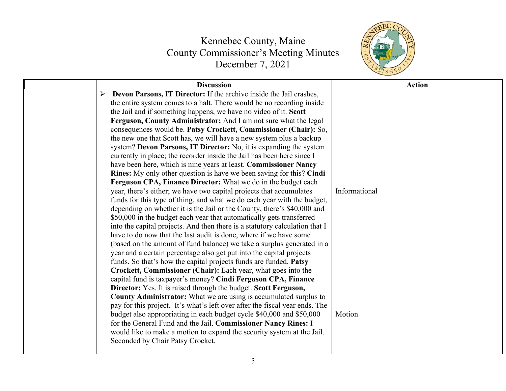

| <b>Discussion</b>                                                           | <b>Action</b> |
|-----------------------------------------------------------------------------|---------------|
| Devon Parsons, IT Director: If the archive inside the Jail crashes,<br>➤    |               |
| the entire system comes to a halt. There would be no recording inside       |               |
| the Jail and if something happens, we have no video of it. Scott            |               |
| Ferguson, County Administrator: And I am not sure what the legal            |               |
| consequences would be. Patsy Crockett, Commissioner (Chair): So,            |               |
| the new one that Scott has, we will have a new system plus a backup         |               |
| system? Devon Parsons, IT Director: No, it is expanding the system          |               |
| currently in place; the recorder inside the Jail has been here since I      |               |
| have been here, which is nine years at least. Commissioner Nancy            |               |
| Rines: My only other question is have we been saving for this? Cindi        |               |
| Ferguson CPA, Finance Director: What we do in the budget each               |               |
| year, there's either; we have two capital projects that accumulates         | Informational |
| funds for this type of thing, and what we do each year with the budget,     |               |
| depending on whether it is the Jail or the County, there's \$40,000 and     |               |
| \$50,000 in the budget each year that automatically gets transferred        |               |
| into the capital projects. And then there is a statutory calculation that I |               |
| have to do now that the last audit is done, where if we have some           |               |
| (based on the amount of fund balance) we take a surplus generated in a      |               |
| year and a certain percentage also get put into the capital projects        |               |
| funds. So that's how the capital projects funds are funded. Patsy           |               |
| Crockett, Commissioner (Chair): Each year, what goes into the               |               |
| capital fund is taxpayer's money? Cindi Ferguson CPA, Finance               |               |
| Director: Yes. It is raised through the budget. Scott Ferguson,             |               |
| County Administrator: What we are using is accumulated surplus to           |               |
| pay for this project. It's what's left over after the fiscal year ends. The |               |
| budget also appropriating in each budget cycle \$40,000 and \$50,000        | Motion        |
| for the General Fund and the Jail. Commissioner Nancy Rines: I              |               |
| would like to make a motion to expand the security system at the Jail.      |               |
| Seconded by Chair Patsy Crocket.                                            |               |
|                                                                             |               |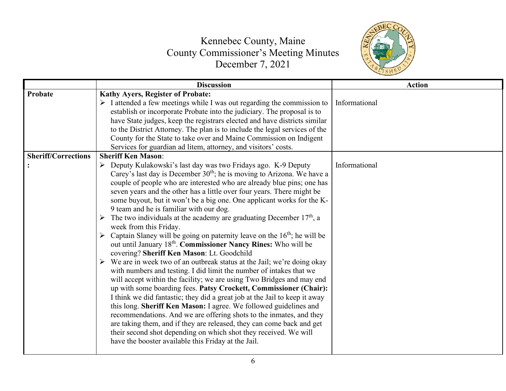

|                            | <b>Discussion</b>                                                                                                                        | <b>Action</b> |
|----------------------------|------------------------------------------------------------------------------------------------------------------------------------------|---------------|
| Probate                    | Kathy Ayers, Register of Probate:                                                                                                        |               |
|                            | $\triangleright$ I attended a few meetings while I was out regarding the commission to                                                   | Informational |
|                            | establish or incorporate Probate into the judiciary. The proposal is to                                                                  |               |
|                            | have State judges, keep the registrars elected and have districts similar                                                                |               |
|                            | to the District Attorney. The plan is to include the legal services of the                                                               |               |
|                            | County for the State to take over and Maine Commission on Indigent                                                                       |               |
|                            | Services for guardian ad litem, attorney, and visitors' costs.                                                                           |               |
| <b>Sheriff/Corrections</b> | <b>Sheriff Ken Mason:</b>                                                                                                                |               |
|                            | > Deputy Kulakowski's last day was two Fridays ago. K-9 Deputy                                                                           | Informational |
|                            | Carey's last day is December 30 <sup>th</sup> ; he is moving to Arizona. We have a                                                       |               |
|                            | couple of people who are interested who are already blue pins; one has                                                                   |               |
|                            | seven years and the other has a little over four years. There might be                                                                   |               |
|                            | some buyout, but it won't be a big one. One applicant works for the K-                                                                   |               |
|                            | 9 team and he is familiar with our dog.                                                                                                  |               |
|                            | > The two individuals at the academy are graduating December $17th$ , a                                                                  |               |
|                            | week from this Friday.                                                                                                                   |               |
|                            | $\triangleright$ Captain Slaney will be going on paternity leave on the 16 <sup>th</sup> ; he will be                                    |               |
|                            | out until January 18th. Commissioner Nancy Rines: Who will be                                                                            |               |
|                            | covering? Sheriff Ken Mason: Lt. Goodchild                                                                                               |               |
|                            | $\triangleright$ We are in week two of an outbreak status at the Jail; we're doing okay                                                  |               |
|                            | with numbers and testing. I did limit the number of intakes that we                                                                      |               |
|                            | will accept within the facility; we are using Two Bridges and may end                                                                    |               |
|                            | up with some boarding fees. Patsy Crockett, Commissioner (Chair):                                                                        |               |
|                            | I think we did fantastic; they did a great job at the Jail to keep it away                                                               |               |
|                            | this long. Sheriff Ken Mason: I agree. We followed guidelines and<br>recommendations. And we are offering shots to the inmates, and they |               |
|                            | are taking them, and if they are released, they can come back and get                                                                    |               |
|                            | their second shot depending on which shot they received. We will                                                                         |               |
|                            | have the booster available this Friday at the Jail.                                                                                      |               |
|                            |                                                                                                                                          |               |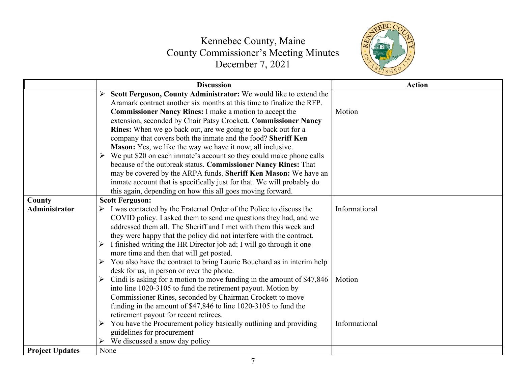

|                        | <b>Discussion</b>                                                                                                                                                                                                                                                                                                                                                                                                                                                                                                                                                             | <b>Action</b>           |
|------------------------|-------------------------------------------------------------------------------------------------------------------------------------------------------------------------------------------------------------------------------------------------------------------------------------------------------------------------------------------------------------------------------------------------------------------------------------------------------------------------------------------------------------------------------------------------------------------------------|-------------------------|
|                        | Scott Ferguson, County Administrator: We would like to extend the<br>➤<br>Aramark contract another six months at this time to finalize the RFP.<br>Commissioner Nancy Rines: I make a motion to accept the<br>extension, seconded by Chair Patsy Crockett. Commissioner Nancy<br>Rines: When we go back out, are we going to go back out for a<br>company that covers both the inmate and the food? Sheriff Ken<br>Mason: Yes, we like the way we have it now; all inclusive.                                                                                                 | Motion                  |
|                        | $\triangleright$ We put \$20 on each inmate's account so they could make phone calls<br>because of the outbreak status. Commissioner Nancy Rines: That<br>may be covered by the ARPA funds. Sheriff Ken Mason: We have an<br>inmate account that is specifically just for that. We will probably do<br>this again, depending on how this all goes moving forward.                                                                                                                                                                                                             |                         |
| County                 | <b>Scott Ferguson:</b>                                                                                                                                                                                                                                                                                                                                                                                                                                                                                                                                                        |                         |
| Administrator          | I was contacted by the Fraternal Order of the Police to discuss the<br>➤<br>COVID policy. I asked them to send me questions they had, and we<br>addressed them all. The Sheriff and I met with them this week and<br>they were happy that the policy did not interfere with the contract.<br>I finished writing the HR Director job ad; I will go through it one<br>$\blacktriangleright$<br>more time and then that will get posted.<br>$\triangleright$ You also have the contract to bring Laurie Bouchard as in interim help<br>desk for us, in person or over the phone. | Informational           |
|                        | Cindi is asking for a motion to move funding in the amount of \$47,846<br>$\blacktriangleright$<br>into line 1020-3105 to fund the retirement payout. Motion by<br>Commissioner Rines, seconded by Chairman Crockett to move<br>funding in the amount of \$47,846 to line 1020-3105 to fund the<br>retirement payout for recent retirees.<br>You have the Procurement policy basically outlining and providing<br>$\blacktriangleright$<br>guidelines for procurement<br>We discussed a snow day policy<br>⋗                                                                  | Motion<br>Informational |
| <b>Project Updates</b> | None                                                                                                                                                                                                                                                                                                                                                                                                                                                                                                                                                                          |                         |